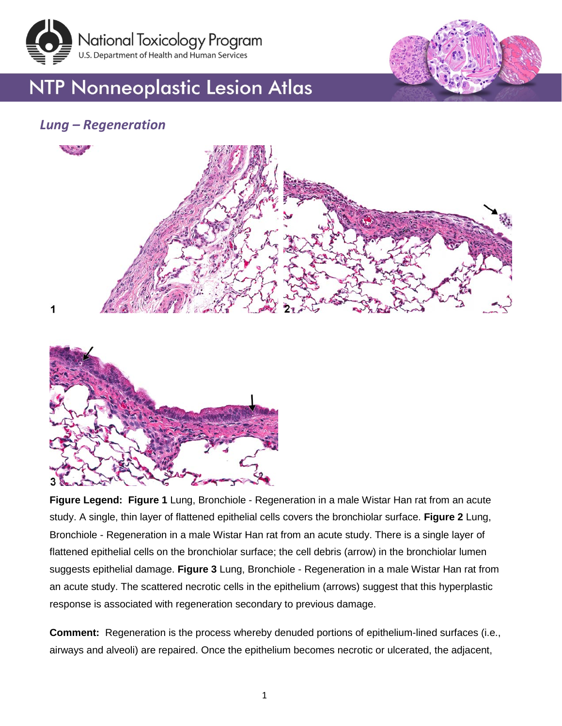



# **NTP Nonneoplastic Lesion Atlas**

### *Lung – Regeneration*





**Figure Legend: Figure 1** Lung, Bronchiole - Regeneration in a male Wistar Han rat from an acute study. A single, thin layer of flattened epithelial cells covers the bronchiolar surface. **Figure 2** Lung, Bronchiole - Regeneration in a male Wistar Han rat from an acute study. There is a single layer of flattened epithelial cells on the bronchiolar surface; the cell debris (arrow) in the bronchiolar lumen suggests epithelial damage. **Figure 3** Lung, Bronchiole - Regeneration in a male Wistar Han rat from an acute study. The scattered necrotic cells in the epithelium (arrows) suggest that this hyperplastic response is associated with regeneration secondary to previous damage.

**Comment:** Regeneration is the process whereby denuded portions of epithelium-lined surfaces (i.e., airways and alveoli) are repaired. Once the epithelium becomes necrotic or ulcerated, the adjacent,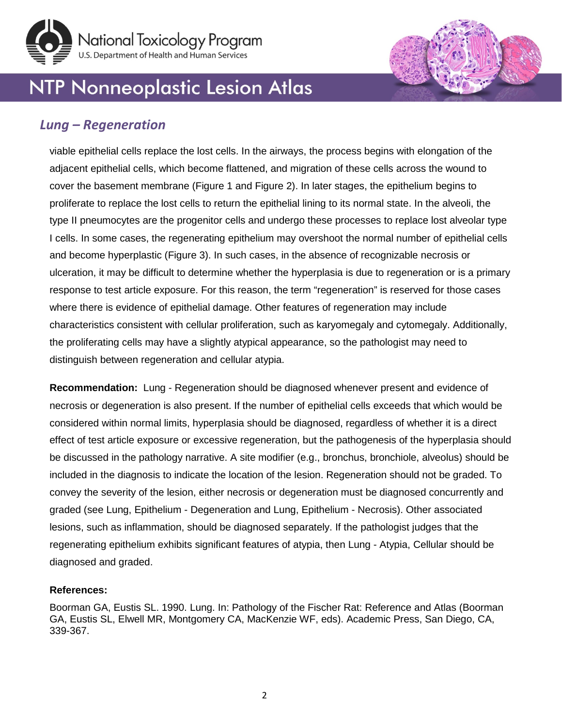



## **NTP Nonneoplastic Lesion Atlas**

### *Lung – Regeneration*

viable epithelial cells replace the lost cells. In the airways, the process begins with elongation of the adjacent epithelial cells, which become flattened, and migration of these cells across the wound to cover the basement membrane (Figure 1 and Figure 2). In later stages, the epithelium begins to proliferate to replace the lost cells to return the epithelial lining to its normal state. In the alveoli, the type II pneumocytes are the progenitor cells and undergo these processes to replace lost alveolar type I cells. In some cases, the regenerating epithelium may overshoot the normal number of epithelial cells and become hyperplastic (Figure 3). In such cases, in the absence of recognizable necrosis or ulceration, it may be difficult to determine whether the hyperplasia is due to regeneration or is a primary response to test article exposure. For this reason, the term "regeneration" is reserved for those cases where there is evidence of epithelial damage. Other features of regeneration may include characteristics consistent with cellular proliferation, such as karyomegaly and cytomegaly. Additionally, the proliferating cells may have a slightly atypical appearance, so the pathologist may need to distinguish between regeneration and cellular atypia.

**Recommendation:** Lung - Regeneration should be diagnosed whenever present and evidence of necrosis or degeneration is also present. If the number of epithelial cells exceeds that which would be considered within normal limits, hyperplasia should be diagnosed, regardless of whether it is a direct effect of test article exposure or excessive regeneration, but the pathogenesis of the hyperplasia should be discussed in the pathology narrative. A site modifier (e.g., bronchus, bronchiole, alveolus) should be included in the diagnosis to indicate the location of the lesion. Regeneration should not be graded. To convey the severity of the lesion, either necrosis or degeneration must be diagnosed concurrently and graded (see Lung, Epithelium - Degeneration and Lung, Epithelium - Necrosis). Other associated lesions, such as inflammation, should be diagnosed separately. If the pathologist judges that the regenerating epithelium exhibits significant features of atypia, then Lung - Atypia, Cellular should be diagnosed and graded.

#### **References:**

Boorman GA, Eustis SL. 1990. Lung. In: Pathology of the Fischer Rat: Reference and Atlas (Boorman GA, Eustis SL, Elwell MR, Montgomery CA, MacKenzie WF, eds). Academic Press, San Diego, CA, 339-367.